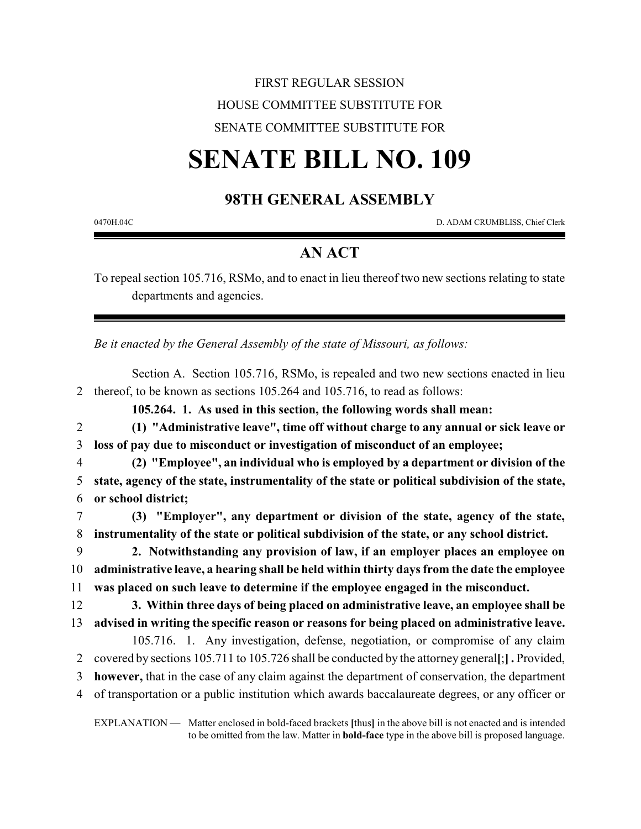## FIRST REGULAR SESSION HOUSE COMMITTEE SUBSTITUTE FOR SENATE COMMITTEE SUBSTITUTE FOR

# **SENATE BILL NO. 109**

### **98TH GENERAL ASSEMBLY**

0470H.04C D. ADAM CRUMBLISS, Chief Clerk

### **AN ACT**

To repeal section 105.716, RSMo, and to enact in lieu thereof two new sections relating to state departments and agencies.

*Be it enacted by the General Assembly of the state of Missouri, as follows:*

Section A. Section 105.716, RSMo, is repealed and two new sections enacted in lieu 2 thereof, to be known as sections 105.264 and 105.716, to read as follows:

**105.264. 1. As used in this section, the following words shall mean:**

2 **(1) "Administrative leave", time off without charge to any annual or sick leave or** 3 **loss of pay due to misconduct or investigation of misconduct of an employee;**

4 **(2) "Employee", an individual who is employed by a department or division of the** 5 **state, agency of the state, instrumentality of the state or political subdivision of the state,** 6 **or school district;**

7 **(3) "Employer", any department or division of the state, agency of the state,** 8 **instrumentality of the state or political subdivision of the state, or any school district.**

9 **2. Notwithstanding any provision of law, if an employer places an employee on** 10 **administrative leave, a hearing shall be held within thirty days from the date the employee** 11 **was placed on such leave to determine if the employee engaged in the misconduct.**

12 **3. Within three days of being placed on administrative leave, an employee shall be** 13 **advised in writing the specific reason or reasons for being placed on administrative leave.**

105.716. 1. Any investigation, defense, negotiation, or compromise of any claim 2 covered by sections 105.711 to 105.726 shall be conducted by the attorney general**[**;**] .** Provided,

3 **however,** that in the case of any claim against the department of conservation, the department 4 of transportation or a public institution which awards baccalaureate degrees, or any officer or

EXPLANATION — Matter enclosed in bold-faced brackets **[**thus**]** in the above bill is not enacted and is intended to be omitted from the law. Matter in **bold-face** type in the above bill is proposed language.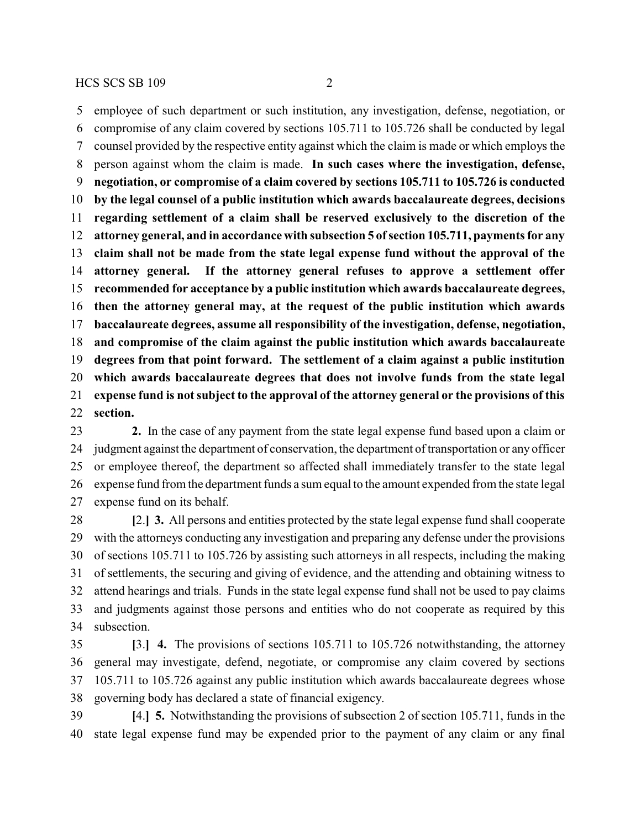employee of such department or such institution, any investigation, defense, negotiation, or compromise of any claim covered by sections 105.711 to 105.726 shall be conducted by legal counsel provided by the respective entity against which the claim is made or which employs the person against whom the claim is made. **In such cases where the investigation, defense, negotiation, or compromise of a claim covered by sections 105.711 to 105.726 is conducted by the legal counsel of a public institution which awards baccalaureate degrees, decisions regarding settlement of a claim shall be reserved exclusively to the discretion of the attorney general, and in accordance with subsection 5 ofsection 105.711, payments for any claim shall not be made from the state legal expense fund without the approval of the attorney general. If the attorney general refuses to approve a settlement offer recommended for acceptance by a public institution which awards baccalaureate degrees, then the attorney general may, at the request of the public institution which awards baccalaureate degrees, assume all responsibility of the investigation, defense, negotiation, and compromise of the claim against the public institution which awards baccalaureate degrees from that point forward. The settlement of a claim against a public institution which awards baccalaureate degrees that does not involve funds from the state legal expense fund is not subject to the approval of the attorney general or the provisions of this section.**

 **2.** In the case of any payment from the state legal expense fund based upon a claim or judgment against the department of conservation, the department of transportation or any officer or employee thereof, the department so affected shall immediately transfer to the state legal expense fund from the department funds a sum equal to the amount expended from the state legal expense fund on its behalf.

 **[**2.**] 3.** All persons and entities protected by the state legal expense fund shall cooperate with the attorneys conducting any investigation and preparing any defense under the provisions of sections 105.711 to 105.726 by assisting such attorneys in all respects, including the making of settlements, the securing and giving of evidence, and the attending and obtaining witness to attend hearings and trials. Funds in the state legal expense fund shall not be used to pay claims and judgments against those persons and entities who do not cooperate as required by this subsection.

 **[**3.**] 4.** The provisions of sections 105.711 to 105.726 notwithstanding, the attorney general may investigate, defend, negotiate, or compromise any claim covered by sections 105.711 to 105.726 against any public institution which awards baccalaureate degrees whose governing body has declared a state of financial exigency.

 **[**4.**] 5.** Notwithstanding the provisions of subsection 2 of section 105.711, funds in the state legal expense fund may be expended prior to the payment of any claim or any final